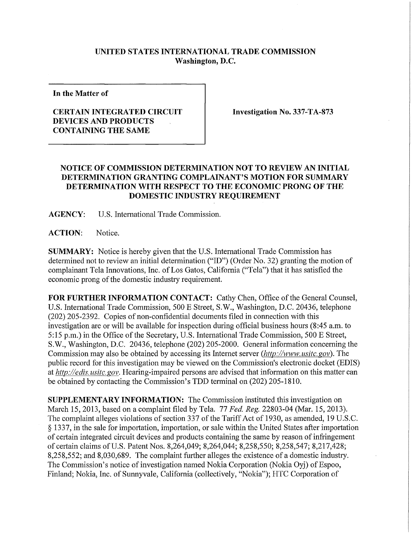## **UNITED STATES INTERNATIONAL TRADE COMMISSION Washington, D.C.**

**In the Matter of** 

## **CERTAIN INTEGRATED CIRCUIT DEVICES AND PRODUCTS CONTAINING THE SAME**

**Investigation No. 337-TA-873** 

## **NOTICE OF COMMISSION DETERMINATION NOT TO REVIEW AN INITIAL DETERMINATION GRANTING COMPLAINANT'S MOTION FOR SUMMARY DETERMINATION WITH RESPECT TO THE ECONOMIC PRONG OF THE DOMESTIC INDUSTRY REQUIREMENT**

**AGENCY:** U.S. International Trade Commission.

**ACTION:** Notice.

**SUMMARY:** Notice is hereby given that the U.S. International Trade Commission has determined not to review an initial determination ("ID") (Order No. 32) granting the motion of complainant Tela Innovations, Inc. of Los Gatos, California ("Tela") that it has satisfied the economic prong of the domestic industry requirement.

**FOR FURTHER INFORMATION CONTACT:** Cathy Chen, Office of the General Counsel, U.S. International Trade Commission, 500 E Street, S.W., Washington, D.C. 20436, telephone (202) 205-2392. Copies of non-confidential documents filed in connection with this investigation are or will be available for inspection during official business hours (8:45 a.m. to 5:15 p.m.) in the Office of the Secretary, U.S. Intemational Trade Commission, 500 E Street, S.W., Washington, D.C. 20436, telephone (202) 205-2000. General information concerning the Commission may also be obtained by accessing its Internet server *(http://www. usitc. gov).* The public record for this investigation may be viewed on the Commission's electronic docket (EDIS) at *http://edis. usitc. gov.* Hearing-impaired persons are advised that information on this matter can be obtained by contacting the Commission's TDD terminal on (202) 205-1810.

**SUPPLEMENTARY INFORMATION:** The Commission instituted this investigation on March 15, 2013, based on a complaint filed by Tela. 77 *Fed. Reg.* 22803-04 (Mar. 15, 2013). The complaint alleges violations of section 337 of the Tariff Act of 1930, as amended, 19 U.S.C. § 1337, in the sale for importation, importation, or sale within the United States after importation of certain integrated circuit devices and products containing the same by reason of infringement of certain claims of U.S. Patent Nos. 8,264,049; 8,264,044; 8,258,550; 8,258,547; 8,217,428; 8,258,552; and 8,030,689. The complaint further alleges the existence of a domestic industry. The Commission's notice of investigation named Nokia Corporation (Nokia Oyj) of Espoo, Finland; Nokia, Inc. of Sunnyvale, California (collectively, "Nokia"); HTC Corporation of